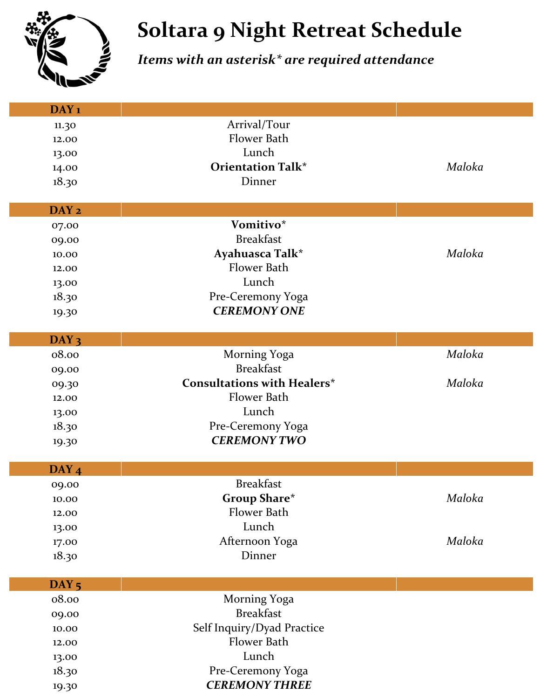

## **Soltara 9 Night Retreat Schedule**

## *Items with an asterisk\* are required attendance*

| DAY <sub>1</sub>          |                                    |        |
|---------------------------|------------------------------------|--------|
| 11.30                     | Arrival/Tour                       |        |
| 12.00                     | Flower Bath                        |        |
| 13.00                     | Lunch                              |        |
| 14.00                     | <b>Orientation Talk*</b>           | Maloka |
| 18.30                     | Dinner                             |        |
|                           |                                    |        |
| DAY <sub>2</sub>          |                                    |        |
| 07.00                     | Vomitivo*                          |        |
| 09.00                     | <b>Breakfast</b>                   |        |
| 10.00                     | Ayahuasca Talk*                    | Maloka |
| 12.00                     | Flower Bath                        |        |
| 13.00                     | Lunch                              |        |
| 18.30                     | Pre-Ceremony Yoga                  |        |
| 19.30                     | <b>CEREMONY ONE</b>                |        |
|                           |                                    |        |
| DAY <sub>3</sub>          |                                    |        |
| 08.00                     | <b>Morning Yoga</b>                | Maloka |
| 09.00                     | <b>Breakfast</b>                   |        |
| 09.30                     | <b>Consultations with Healers*</b> | Maloka |
| 12.00                     | Flower Bath                        |        |
| 13.00                     | Lunch                              |        |
| 18.30                     | Pre-Ceremony Yoga                  |        |
| 19.30                     | <b>CEREMONY TWO</b>                |        |
|                           |                                    |        |
| DAY <sub>4</sub>          |                                    |        |
| 09.00                     | <b>Breakfast</b>                   |        |
| 10.00                     | <b>Group Share*</b><br>Flower Bath | Maloka |
| 12.00                     |                                    |        |
| 13.00                     | Lunch                              |        |
| 17.00                     | Afternoon Yoga                     | Maloka |
| 18.30                     | Dinner                             |        |
|                           |                                    |        |
| DAY <sub>5</sub><br>08.00 | Morning Yoga                       |        |
| 09.00                     | <b>Breakfast</b>                   |        |
| 10.00                     | Self Inquiry/Dyad Practice         |        |
| 12.00                     | Flower Bath                        |        |
| 13.00                     | Lunch                              |        |
| 18.30                     | Pre-Ceremony Yoga                  |        |
|                           | <b>CEREMONY THREE</b>              |        |
| 19.30                     |                                    |        |